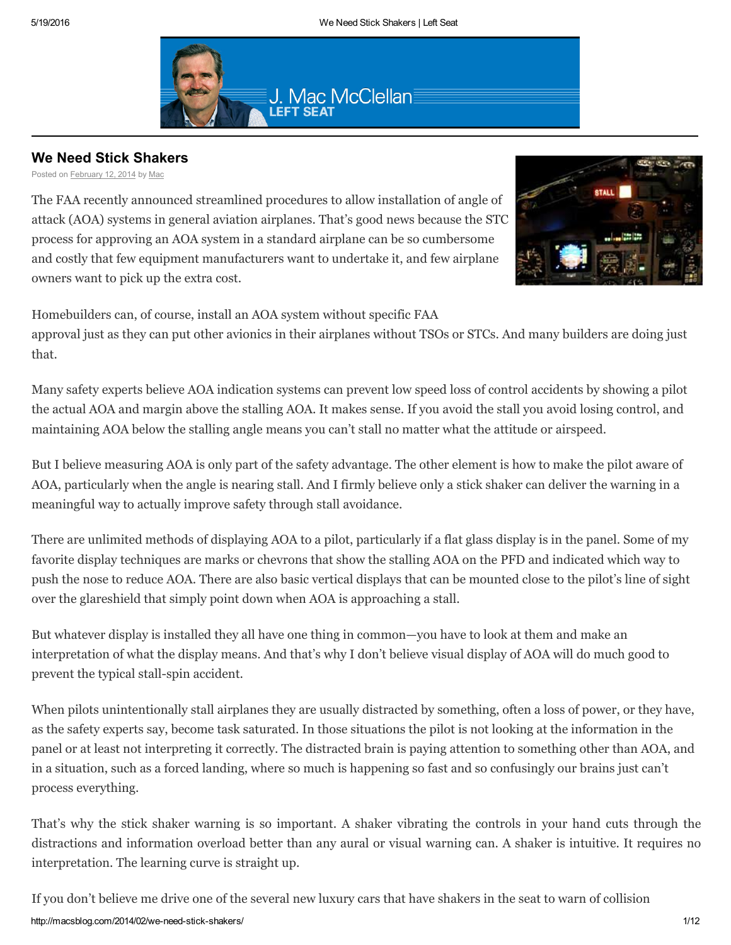

## We Need Stick Shakers

owners want to pick up the extra cost.

Posted on [February 12, 2014](http://macsblog.com/2014/02/we-need-stick-shakers/) by [Mac](http://macsblog.com/author/mac/)

The FAA recently announced streamlined procedures to allow installation of angle of attack (AOA) systems in general aviation airplanes. That's good news because the STC process for approving an AOA system in a standard airplane can be so cumbersome and costly that few equipment manufacturers want to undertake it, and few airplane



Homebuilders can, of course, install an AOA system without specific FAA

approval just as they can put other avionics in their airplanes without TSOs or STCs. And many builders are doing just that.

Many safety experts believe AOA indication systems can prevent low speed loss of control accidents by showing a pilot the actual AOA and margin above the stalling AOA. It makes sense. If you avoid the stall you avoid losing control, and maintaining AOA below the stalling angle means you can't stall no matter what the attitude or airspeed.

But I believe measuring AOA is only part of the safety advantage. The other element is how to make the pilot aware of AOA, particularly when the angle is nearing stall. And I firmly believe only a stick shaker can deliver the warning in a meaningful way to actually improve safety through stall avoidance.

There are unlimited methods of displaying AOA to a pilot, particularly if a flat glass display is in the panel. Some of my favorite display techniques are marks or chevrons that show the stalling AOA on the PFD and indicated which way to push the nose to reduce AOA. There are also basic vertical displays that can be mounted close to the pilot's line of sight over the glareshield that simply point down when AOA is approaching a stall.

But whatever display is installed they all have one thing in common—you have to look at them and make an interpretation of what the display means. And that's why I don't believe visual display of AOA will do much good to prevent the typical stall-spin accident.

When pilots unintentionally stall airplanes they are usually distracted by something, often a loss of power, or they have, as the safety experts say, become task saturated. In those situations the pilot is not looking at the information in the panel or at least not interpreting it correctly. The distracted brain is paying attention to something other than AOA, and in a situation, such as a forced landing, where so much is happening so fast and so confusingly our brains just can't process everything.

That's why the stick shaker warning is so important. A shaker vibrating the controls in your hand cuts through the distractions and information overload better than any aural or visual warning can. A shaker is intuitive. It requires no interpretation. The learning curve is straight up.

http://macsblog.com/2014/02/we-need-stick-shakers/ 1/12 If you don't believe me drive one of the several new luxury cars that have shakers in the seat to warn of collision